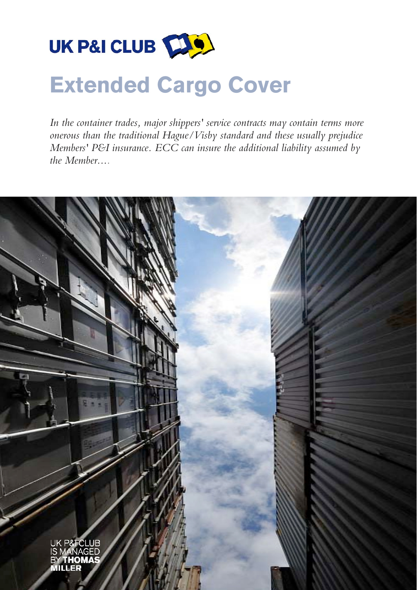

# **Extended Cargo Cover**

*In the container trades, major shippers' service contracts may contain terms more onerous than the traditional Hague/Visby standard and these usually prejudice Members' P&I insurance. ECC can insure the additional liability assumed by the Member....*

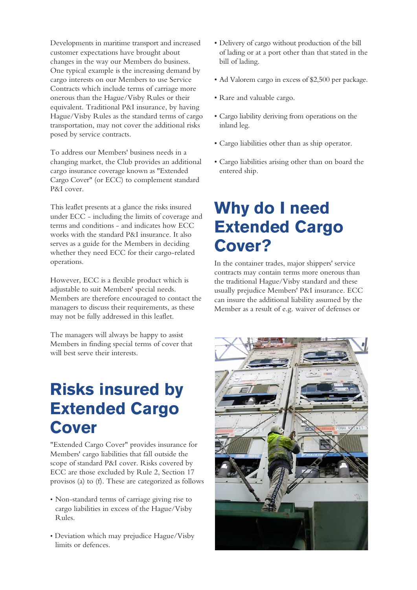Developments in maritime transport and increased customer expectations have brought about changes in the way our Members do business. One typical example is the increasing demand by cargo interests on our Members to use Service Contracts which include terms of carriage more onerous than the Hague/Visby Rules or their equivalent. Traditional P&I insurance, by having Hague/Visby Rules as the standard terms of cargo transportation, may not cover the additional risks posed by service contracts.

To address our Members' business needs in a changing market, the Club provides an additional cargo insurance coverage known as "Extended Cargo Cover" (or ECC) to complement standard P&I cover.

This leaflet presents at a glance the risks insured under ECC - including the limits of coverage and terms and conditions - and indicates how ECC works with the standard P&I insurance. It also serves as a guide for the Members in deciding whether they need ECC for their cargo-related operations.

However, ECC is a flexible product which is adjustable to suit Members' special needs. Members are therefore encouraged to contact the managers to discuss their requirements, as these may not be fully addressed in this leaflet.

The managers will always be happy to assist Members in finding special terms of cover that will best serve their interests.

### **Risks insured by Extended Cargo Cover**

"Extended Cargo Cover" provides insurance for Members' cargo liabilities that fall outside the scope of standard P&I cover. Risks covered by ECC are those excluded by Rule 2, Section 17 provisos (a) to (f). These are categorized as follows

- Non-standard terms of carriage giving rise to cargo liabilities in excess of the Hague/Visby Rules.
- Deviation which may prejudice Hague/Visby limits or defences.
- Delivery of cargo without production of the bill of lading or at a port other than that stated in the bill of lading.
- Ad Valorem cargo in excess of \$2,500 per package.
- Rare and valuable cargo.
- Cargo liability deriving from operations on the inland leg.
- Cargo liabilities other than as ship operator.
- Cargo liabilities arising other than on board the entered ship.

#### **Why do I need Extended Cargo Cover?**

In the container trades, major shippers' service contracts may contain terms more onerous than the traditional Hague/Visby standard and these usually prejudice Members' P&I insurance. ECC can insure the additional liability assumed by the Member as a result of e.g. waiver of defenses or

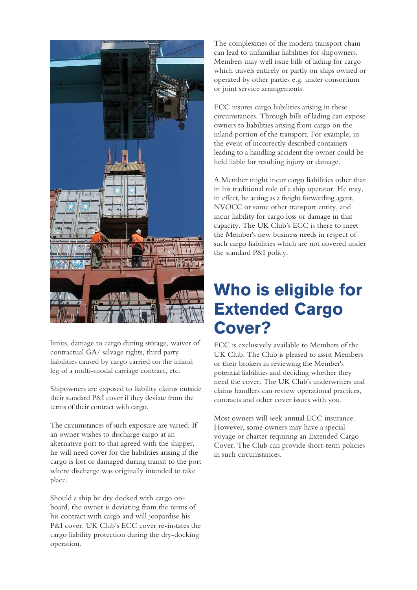

limits, damage to cargo during storage, waiver of contractual GA/ salvage rights, third party liabilities caused by cargo carried on the inland leg of a multi-modal carriage contract, etc.

Shipowners are exposed to liability claims outside their standard P&I cover if they deviate from the terms of their contract with cargo.

The circumstances of such exposure are varied. If an owner wishes to discharge cargo at an alternative port to that agreed with the shipper, he will need cover for the liabilities arising if the cargo is lost or damaged during transit to the port where discharge was originally intended to take place.

Should a ship be dry docked with cargo onboard, the owner is deviating from the terms of his contract with cargo and will jeopardise his P&I cover. UK Club's ECC cover re-instates the cargo liability protection during the dry-docking operation.

The complexities of the modern transport chain can lead to unfamiliar liabilities for shipowners. Members may well issue bills of lading for cargo which travels entirely or partly on ships owned or operated by other parties e.g. under consortium or joint service arrangements.

ECC insures cargo liabilities arising in these circumstances. Through bills of lading can expose owners to liabilities arising from cargo on the inland portion of the transport. For example, in the event of incorrectly described containers leading to a handling accident the owner could be held liable for resulting injury or damage.

A Member might incur cargo liabilities other than in his traditional role of a ship operator. He may, in effect, be acting as a freight forwarding agent, NVOCC or some other transport entity, and incur liability for cargo loss or damage in that capacity. The UK Club's ECC is there to meet the Member's new business needs in respect of such cargo liabilities which are not covered under the standard P&I policy.

#### **Who is eligible for Extended Cargo Cover?**

ECC is exclusively available to Members of the UK Club. The Club is pleased to assist Members or their brokers in reviewing the Member's potential liabilities and deciding whether they need the cover. The UK Club's underwriters and claims handlers can review operational practices, contracts and other cover issues with you.

Most owners will seek annual ECC insurance. However, some owners may have a special voyage or charter requiring an Extended Cargo Cover. The Club can provide short-term policies in such circumstances.